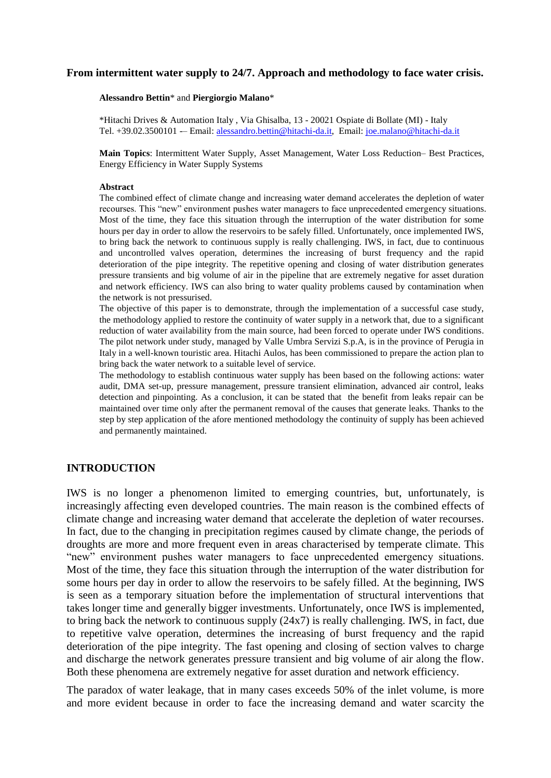#### **From intermittent water supply to 24/7. Approach and methodology to face water crisis.**

#### **Alessandro Bettin**\* and **Piergiorgio Malano**\*

\*Hitachi Drives & Automation Italy , Via Ghisalba, 13 - 20021 Ospiate di Bollate (MI) - Italy Tel. +39.02.3500101 -- Email: [alessandro.bettin@hitachi-da.it,](mailto:alessandro.bettin@hitachi-da.it) Email: [joe.malano@hitachi-da.it](mailto:joe.malano@hitachi-da.it)

**Main Topics**: Intermittent Water Supply, Asset Management, Water Loss Reduction– Best Practices, Energy Efficiency in Water Supply Systems

#### **Abstract**

The combined effect of climate change and increasing water demand accelerates the depletion of water recourses. This "new" environment pushes water managers to face unprecedented emergency situations. Most of the time, they face this situation through the interruption of the water distribution for some hours per day in order to allow the reservoirs to be safely filled. Unfortunately, once implemented IWS, to bring back the network to continuous supply is really challenging. IWS, in fact, due to continuous and uncontrolled valves operation, determines the increasing of burst frequency and the rapid deterioration of the pipe integrity. The repetitive opening and closing of water distribution generates pressure transients and big volume of air in the pipeline that are extremely negative for asset duration and network efficiency. IWS can also bring to water quality problems caused by contamination when the network is not pressurised.

The objective of this paper is to demonstrate, through the implementation of a successful case study, the methodology applied to restore the continuity of water supply in a network that, due to a significant reduction of water availability from the main source, had been forced to operate under IWS conditions. The pilot network under study, managed by Valle Umbra Servizi S.p.A, is in the province of Perugia in Italy in a well-known touristic area. Hitachi Aulos, has been commissioned to prepare the action plan to bring back the water network to a suitable level of service.

The methodology to establish continuous water supply has been based on the following actions: water audit, DMA set-up, pressure management, pressure transient elimination, advanced air control, leaks detection and pinpointing. As a conclusion, it can be stated that the benefit from leaks repair can be maintained over time only after the permanent removal of the causes that generate leaks. Thanks to the step by step application of the afore mentioned methodology the continuity of supply has been achieved and permanently maintained.

### **INTRODUCTION**

IWS is no longer a phenomenon limited to emerging countries, but, unfortunately, is increasingly affecting even developed countries. The main reason is the combined effects of climate change and increasing water demand that accelerate the depletion of water recourses. In fact, due to the changing in precipitation regimes caused by climate change, the periods of droughts are more and more frequent even in areas characterised by temperate climate. This "new" environment pushes water managers to face unprecedented emergency situations. Most of the time, they face this situation through the interruption of the water distribution for some hours per day in order to allow the reservoirs to be safely filled. At the beginning, IWS is seen as a temporary situation before the implementation of structural interventions that takes longer time and generally bigger investments. Unfortunately, once IWS is implemented, to bring back the network to continuous supply (24x7) is really challenging. IWS, in fact, due to repetitive valve operation, determines the increasing of burst frequency and the rapid deterioration of the pipe integrity. The fast opening and closing of section valves to charge and discharge the network generates pressure transient and big volume of air along the flow. Both these phenomena are extremely negative for asset duration and network efficiency.

The paradox of water leakage, that in many cases exceeds 50% of the inlet volume, is more and more evident because in order to face the increasing demand and water scarcity the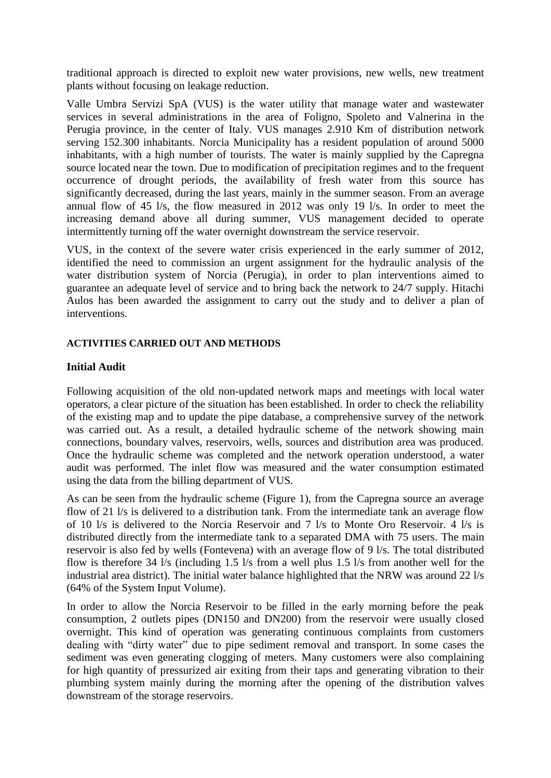traditional approach is directed to exploit new water provisions, new wells, new treatment plants without focusing on leakage reduction.

Valle Umbra Servizi SpA (VUS) is the water utility that manage water and wastewater services in several administrations in the area of Foligno, Spoleto and Valnerina in the Perugia province, in the center of Italy. VUS manages 2.910 Km of distribution network serving 152.300 inhabitants. Norcia Municipality has a resident population of around 5000 inhabitants, with a high number of tourists. The water is mainly supplied by the Capregna source located near the town. Due to modification of precipitation regimes and to the frequent occurrence of drought periods, the availability of fresh water from this source has significantly decreased, during the last years, mainly in the summer season. From an average annual flow of 45 l/s, the flow measured in 2012 was only 19 l/s. In order to meet the increasing demand above all during summer, VUS management decided to operate intermittently turning off the water overnight downstream the service reservoir.

VUS, in the context of the severe water crisis experienced in the early summer of 2012, identified the need to commission an urgent assignment for the hydraulic analysis of the water distribution system of Norcia (Perugia), in order to plan interventions aimed to guarantee an adequate level of service and to bring back the network to 24/7 supply. Hitachi Aulos has been awarded the assignment to carry out the study and to deliver a plan of interventions.

## **ACTIVITIES CARRIED OUT AND METHODS**

## **Initial Audit**

Following acquisition of the old non-updated network maps and meetings with local water operators, a clear picture of the situation has been established. In order to check the reliability of the existing map and to update the pipe database, a comprehensive survey of the network was carried out. As a result, a detailed hydraulic scheme of the network showing main connections, boundary valves, reservoirs, wells, sources and distribution area was produced. Once the hydraulic scheme was completed and the network operation understood, a water audit was performed. The inlet flow was measured and the water consumption estimated using the data from the billing department of VUS.

As can be seen from the hydraulic scheme (Figure 1), from the Capregna source an average flow of 21 l/s is delivered to a distribution tank. From the intermediate tank an average flow of 10 l/s is delivered to the Norcia Reservoir and 7 l/s to Monte Oro Reservoir. 4 l/s is distributed directly from the intermediate tank to a separated DMA with 75 users. The main reservoir is also fed by wells (Fontevena) with an average flow of 9 l/s. The total distributed flow is therefore 34 l/s (including 1.5 l/s from a well plus 1.5 l/s from another well for the industrial area district). The initial water balance highlighted that the NRW was around 22 l/s (64% of the System Input Volume).

In order to allow the Norcia Reservoir to be filled in the early morning before the peak consumption, 2 outlets pipes (DN150 and DN200) from the reservoir were usually closed overnight. This kind of operation was generating continuous complaints from customers dealing with "dirty water" due to pipe sediment removal and transport. In some cases the sediment was even generating clogging of meters. Many customers were also complaining for high quantity of pressurized air exiting from their taps and generating vibration to their plumbing system mainly during the morning after the opening of the distribution valves downstream of the storage reservoirs.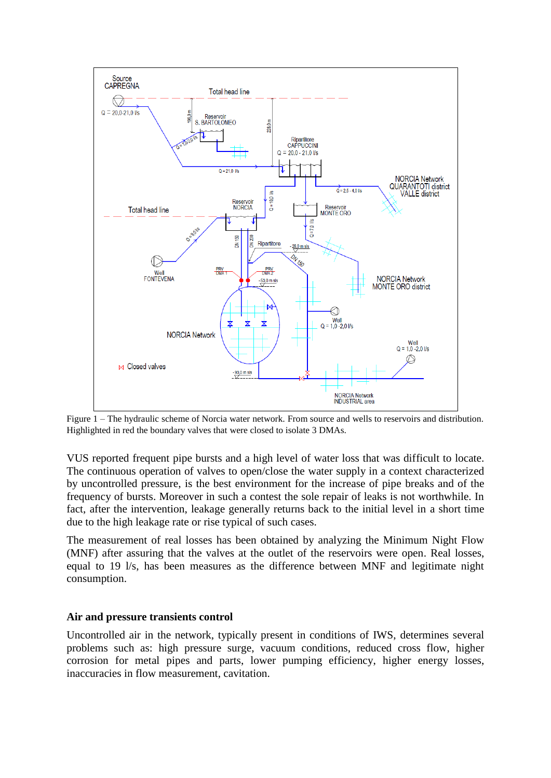

Figure 1 – The hydraulic scheme of Norcia water network. From source and wells to reservoirs and distribution. Highlighted in red the boundary valves that were closed to isolate 3 DMAs.

VUS reported frequent pipe bursts and a high level of water loss that was difficult to locate. The continuous operation of valves to open/close the water supply in a context characterized by uncontrolled pressure, is the best environment for the increase of pipe breaks and of the frequency of bursts. Moreover in such a contest the sole repair of leaks is not worthwhile. In fact, after the intervention, leakage generally returns back to the initial level in a short time due to the high leakage rate or rise typical of such cases.

The measurement of real losses has been obtained by analyzing the Minimum Night Flow (MNF) after assuring that the valves at the outlet of the reservoirs were open. Real losses, equal to 19 l/s, has been measures as the difference between MNF and legitimate night consumption.

### **Air and pressure transients control**

Uncontrolled air in the network, typically present in conditions of IWS, determines several problems such as: high pressure surge, vacuum conditions, reduced cross flow, higher corrosion for metal pipes and parts, lower pumping efficiency, higher energy losses, inaccuracies in flow measurement, cavitation.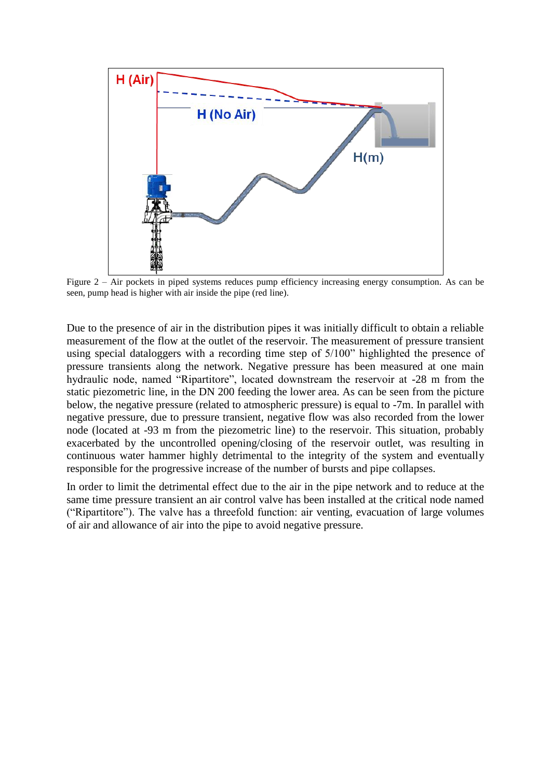

Figure 2 – Air pockets in piped systems reduces pump efficiency increasing energy consumption. As can be seen, pump head is higher with air inside the pipe (red line).

Due to the presence of air in the distribution pipes it was initially difficult to obtain a reliable measurement of the flow at the outlet of the reservoir. The measurement of pressure transient using special dataloggers with a recording time step of 5/100" highlighted the presence of pressure transients along the network. Negative pressure has been measured at one main hydraulic node, named "Ripartitore", located downstream the reservoir at -28 m from the static piezometric line, in the DN 200 feeding the lower area. As can be seen from the picture below, the negative pressure (related to atmospheric pressure) is equal to -7m. In parallel with negative pressure, due to pressure transient, negative flow was also recorded from the lower node (located at -93 m from the piezometric line) to the reservoir. This situation, probably exacerbated by the uncontrolled opening/closing of the reservoir outlet, was resulting in continuous water hammer highly detrimental to the integrity of the system and eventually responsible for the progressive increase of the number of bursts and pipe collapses.

In order to limit the detrimental effect due to the air in the pipe network and to reduce at the same time pressure transient an air control valve has been installed at the critical node named ("Ripartitore"). The valve has a threefold function: air venting, evacuation of large volumes of air and allowance of air into the pipe to avoid negative pressure.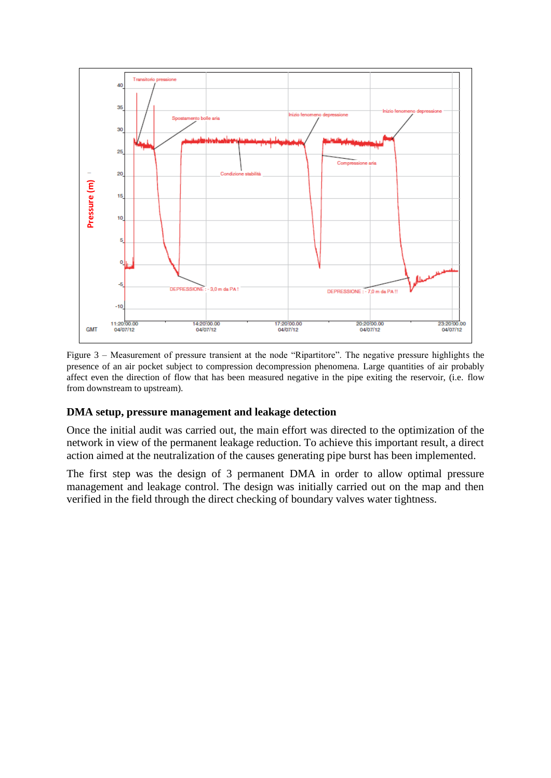

Figure 3 – Measurement of pressure transient at the node "Ripartitore". The negative pressure highlights the presence of an air pocket subject to compression decompression phenomena. Large quantities of air probably affect even the direction of flow that has been measured negative in the pipe exiting the reservoir, (i.e. flow from downstream to upstream).

#### **DMA setup, pressure management and leakage detection**

Once the initial audit was carried out, the main effort was directed to the optimization of the network in view of the permanent leakage reduction. To achieve this important result, a direct action aimed at the neutralization of the causes generating pipe burst has been implemented.

The first step was the design of 3 permanent DMA in order to allow optimal pressure management and leakage control. The design was initially carried out on the map and then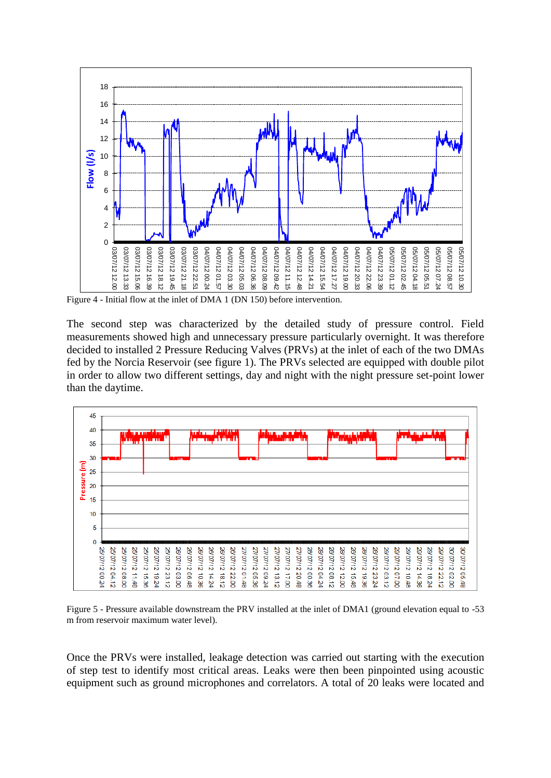

Figure 4 - Initial flow at the inlet of DMA 1 (DN 150) before intervention.

The second step was characterized by the detailed study of pressure control. Field measurements showed high and unnecessary pressure particularly overnight. It was therefore decided to installed 2 Pressure Reducing Valves (PRVs) at the inlet of each of the two DMAs fed by the Norcia Reservoir (see figure 1). The PRVs selected are equipped with double pilot in order to allow two different settings, day and night with the night pressure set-point lower than the daytime.



Figure 5 - Pressure available downstream the PRV installed at the inlet of DMA1 (ground elevation equal to -53 m from reservoir maximum water level).

Once the PRVs were installed, leakage detection was carried out starting with the execution of step test to identify most critical areas. Leaks were then been pinpointed using acoustic equipment such as ground microphones and correlators. A total of 20 leaks were located and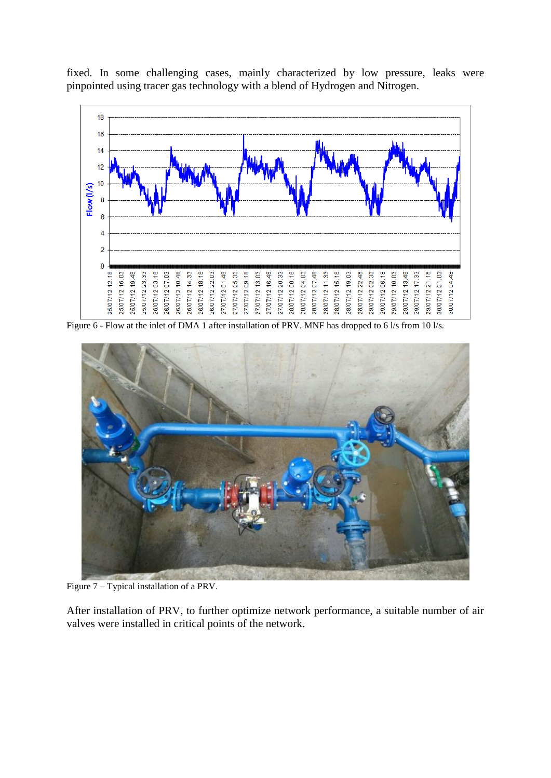

fixed. In some challenging cases, mainly characterized by low pressure, leaks were pinpointed using tracer gas technology with a blend of Hydrogen and Nitrogen.

Figure 6 - Flow at the inlet of DMA 1 after installation of PRV. MNF has dropped to 6 l/s from 10 l/s.



Figure 7 – Typical installation of a PRV.

After installation of PRV, to further optimize network performance, a suitable number of air valves were installed in critical points of the network.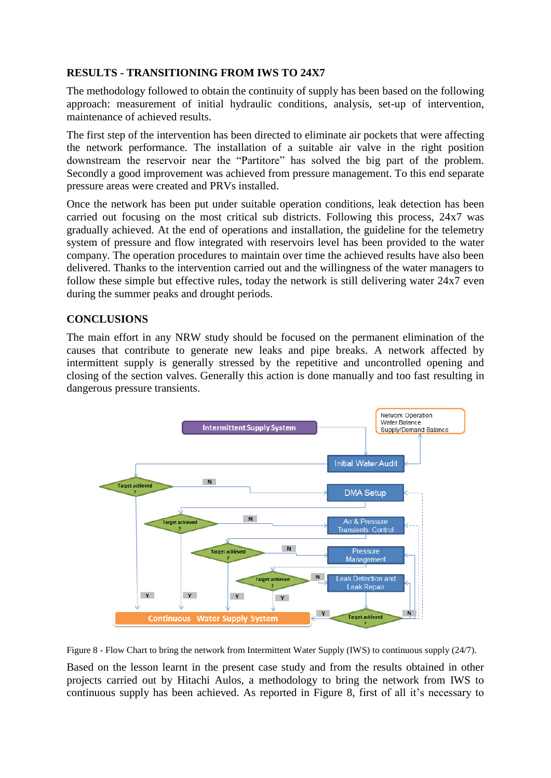# **RESULTS - TRANSITIONING FROM IWS TO 24X7**

The methodology followed to obtain the continuity of supply has been based on the following approach: measurement of initial hydraulic conditions, analysis, set-up of intervention, maintenance of achieved results.

The first step of the intervention has been directed to eliminate air pockets that were affecting the network performance. The installation of a suitable air valve in the right position downstream the reservoir near the "Partitore" has solved the big part of the problem. Secondly a good improvement was achieved from pressure management. To this end separate pressure areas were created and PRVs installed.

Once the network has been put under suitable operation conditions, leak detection has been carried out focusing on the most critical sub districts. Following this process, 24x7 was gradually achieved. At the end of operations and installation, the guideline for the telemetry system of pressure and flow integrated with reservoirs level has been provided to the water company. The operation procedures to maintain over time the achieved results have also been delivered. Thanks to the intervention carried out and the willingness of the water managers to follow these simple but effective rules, today the network is still delivering water 24x7 even during the summer peaks and drought periods.

# **CONCLUSIONS**

The main effort in any NRW study should be focused on the permanent elimination of the causes that contribute to generate new leaks and pipe breaks. A network affected by intermittent supply is generally stressed by the repetitive and uncontrolled opening and closing of the section valves. Generally this action is done manually and too fast resulting in dangerous pressure transients.



Figure 8 - Flow Chart to bring the network from Intermittent Water Supply (IWS) to continuous supply (24/7).

Based on the lesson learnt in the present case study and from the results obtained in other projects carried out by Hitachi Aulos, a methodology to bring the network from IWS to continuous supply has been achieved. As reported in Figure 8, first of all it's necessary to